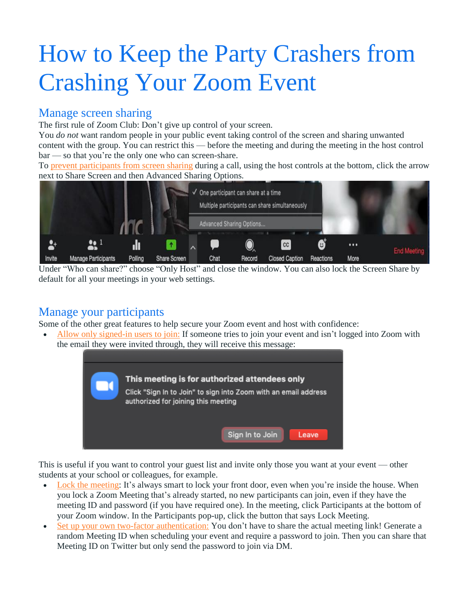## How to Keep the Party Crashers from Crashing Your Zoom Event

## Manage screen sharing

The first rule of Zoom Club: Don't give up control of your screen.

You *do not* want random people in your public event taking control of the screen and sharing unwanted content with the group. You can restrict this — before the meeting and during the meeting in the host control bar — so that you're the only one who can screen-share.

To prevent [participants](https://support.zoom.us/hc/en-us/articles/115005759423?zcid=1231) from screen sharing during a call, using the host controls at the bottom, click the arrow next to Share Screen and then [Advanced](https://blog.zoom.us/wordpress/wp-content/uploads/2020/03/Screen-Shot-2020-03-23-at-8.25.38-AM.png) Sharing Options.



Under "Who can share?" choose "Only Host" and close the window. You can also lock the Screen Share by default for all your meetings in your web settings.

## Manage your participants

Some of the other great features to help secure your Zoom event and host with confidence:

 Allow only [signed-in](https://support.zoom.us/hc/en-us/articles/360037117472-Authentication-Profiles-for-Meetings-and-Webinars?zcid=1231) users to join: If someone tries to join your event and isn't logged into Zoom with the email they were invited through, they will receive this message:



This is useful if you want to control your guest list and invite only those you want at your event — other students at your school or colleagues, for example.

- Lock the [meeting:](https://support.zoom.us/hc/en-us/articles/201362603-Host-and-Co-Host-Controls-in-a-Meeting?zcid=1231) It's always smart to lock your front door, even when you're inside the house. When you lock a Zoom Meeting that's already started, no new participants can join, even if they have the meeting ID and password (if you have required one). In the meeting, click Participants at the bottom of your Zoom window. In the Participants pop-up, click the button that says Lock Meeting.
- Set up your own two-factor [authentication:](https://support.zoom.us/hc/en-us/articles/360033559832-Meeting-and-Webinar-Passwords-?zcid=1231) You don't have to share the actual meeting link! Generate a random Meeting ID when scheduling your event and require a password to join. Then you can share that Meeting ID on Twitter but only send the password to join via DM.